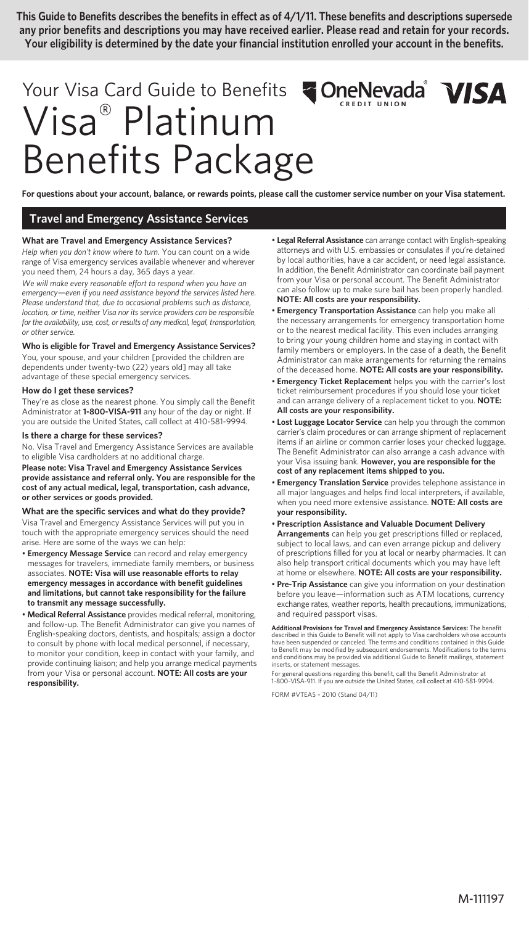**This Guide to Benefits describes the benefits in effect as of 4/1/11. These benefits and descriptions supersede any prior benefits and descriptions you may have received earlier. Please read and retain for your records. Your eligibility is determined by the date your financial institution enrolled your account in the benefits.**

# Your Visa Card Guide to Benefits **ConeNevada VISA** Visa® Platinum Benefits Package

**For questions about your account, balance, or rewards points, please call the customer service number on your Visa statement.** 

# **Travel and Emergency Assistance Services**

## **What are Travel and Emergency Assistance Services?**

*Help when you don't know where to turn.* You can count on a wide range of Visa emergency services available whenever and wherever you need them, 24 hours a day, 365 days a year.

*We will make every reasonable effort to respond when you have an emergency—even if you need assistance beyond the services listed here. Please understand that, due to occasional problems such as distance, location, or time, neither Visa nor its service providers can be responsible for the availability, use, cost, or results of any medical, legal, transportation, or other service.*

## **Who is eligible for Travel and Emergency Assistance Services?**

You, your spouse, and your children [provided the children are dependents under twenty-two (22) years old] may all take advantage of these special emergency services.

## **How do I get these services?**

They're as close as the nearest phone. You simply call the Benefit Administrator at **1-800-VISA-911** any hour of the day or night. If you are outside the United States, call collect at 410-581-9994.

#### **Is there a charge for these services?**

No. Visa Travel and Emergency Assistance Services are available to eligible Visa cardholders at no additional charge.

**Please note: Visa Travel and Emergency Assistance Services provide assistance and referral only. You are responsible for the cost of any actual medical, legal, transportation, cash advance, or other services or goods provided.**

#### **What are the specific services and what do they provide?**

Visa Travel and Emergency Assistance Services will put you in touch with the appropriate emergency services should the need arise. Here are some of the ways we can help:

• **Emergency Message Service** can record and relay emergency messages for travelers, immediate family members, or business associates. **NOTE: Visa will use reasonable efforts to relay emergency messages in accordance with benefit guidelines and limitations, but cannot take responsibility for the failure to transmit any message successfully.**

• **Medical Referral Assistance** provides medical referral, monitoring, and follow-up. The Benefit Administrator can give you names of English-speaking doctors, dentists, and hospitals; assign a doctor to consult by phone with local medical personnel, if necessary, to monitor your condition, keep in contact with your family, and provide continuing liaison; and help you arrange medical payments from your Visa or personal account. **NOTE: All costs are your responsibility.**

- **Legal Referral Assistance** can arrange contact with English-speaking attorneys and with U.S. embassies or consulates if you're detained by local authorities, have a car accident, or need legal assistance. In addition, the Benefit Administrator can coordinate bail payment from your Visa or personal account. The Benefit Administrator can also follow up to make sure bail has been properly handled. **NOTE: All costs are your responsibility.**
- **Emergency Transportation Assistance** can help you make all the necessary arrangements for emergency transportation home or to the nearest medical facility. This even includes arranging to bring your young children home and staying in contact with family members or employers. In the case of a death, the Benefit Administrator can make arrangements for returning the remains of the deceased home. **NOTE: All costs are your responsibility.**
- **Emergency Ticket Replacement** helps you with the carrier's lost ticket reimbursement procedures if you should lose your ticket and can arrange delivery of a replacement ticket to you. **NOTE: All costs are your responsibility.**
- **Lost Luggage Locator Service** can help you through the common carrier's claim procedures or can arrange shipment of replacement items if an airline or common carrier loses your checked luggage. The Benefit Administrator can also arrange a cash advance with your Visa issuing bank. **However, you are responsible for the cost of any replacement items shipped to you.**
- **Emergency Translation Service** provides telephone assistance in all major languages and helps find local interpreters, if available, when you need more extensive assistance. **NOTE: All costs are your responsibility.**
- **Prescription Assistance and Valuable Document Delivery Arrangements** can help you get prescriptions filled or replaced, subject to local laws, and can even arrange pickup and delivery of prescriptions filled for you at local or nearby pharmacies. It can also help transport critical documents which you may have left at home or elsewhere. **NOTE: All costs are your responsibility.**
- **Pre-Trip Assistance** can give you information on your destination before you leave—information such as ATM locations, currency exchange rates, weather reports, health precautions, immunizations, and required passport visas.

**Additional Provisions for Travel and Emergency Assistance Services:** The benefit<br>described in this Guide to Benefit will not apply to Visa cardholders whose accounts<br>have been suspended or canceled. The terms and conditio to Benefit may be modified by subsequent endorsements. Modifications to the terms and conditions may be provided via additional Guide to Benefit mailings, statement inserts, or statement messages.

For general questions regarding this benefit, call the Benefit Administrator at 1-800-VISA-911. If you are outside the United States, call collect at 410-581-9994.

FORM #VTEAS – 2010 (Stand 04/11)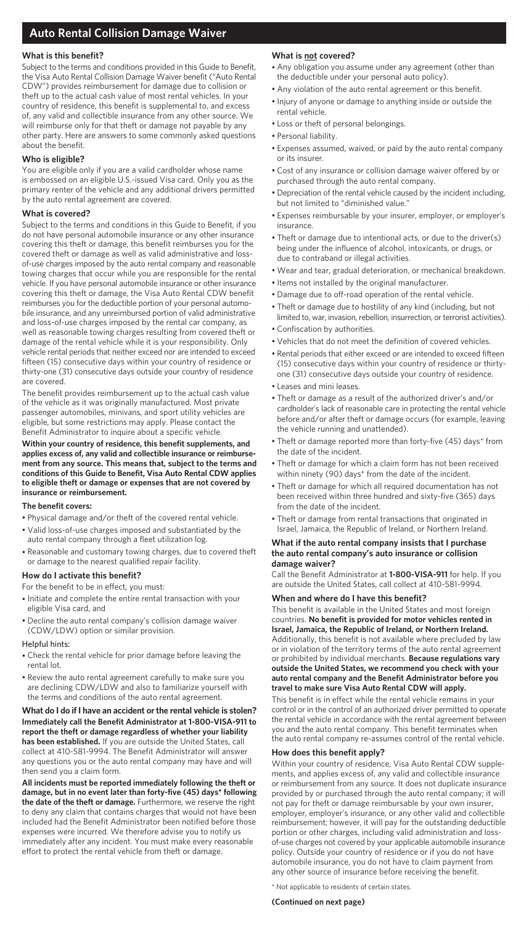# **Auto Rental Collision Damage Waiver**

## **What is this benefit?**

Subject to the terms and conditions provided in this Guide to Benefit, the Visa Auto Rental Collision Damage Waiver benefit ("Auto Rental CDW") provides reimbursement for damage due to collision or theft up to the actual cash value of most rental vehicles. In your country of residence, this benefit is supplemental to, and excess of, any valid and collectible insurance from any other source. We will reimburse only for that theft or damage not payable by any other party. Here are answers to some commonly asked questions about the benefit.

## **Who is eligible?**

You are eligible only if you are a valid cardholder whose name is embossed on an eligible U.S.-issued Visa card. Only you as the primary renter of the vehicle and any additional drivers permitted by the auto rental agreement are covered.

## **What is covered?**

Subject to the terms and conditions in this Guide to Benefit, if you do not have personal automobile insurance or any other insurance covering this theft or damage, this benefit reimburses you for the covered theft or damage as well as valid administrative and lossof-use charges imposed by the auto rental company and reasonable towing charges that occur while you are responsible for the rental vehicle. If you have personal automobile insurance or other insurance covering this theft or damage, the Visa Auto Rental CDW benefit reimburses you for the deductible portion of your personal automobile insurance, and any unreimbursed portion of valid administrative and loss-of-use charges imposed by the rental car company, as well as reasonable towing charges resulting from covered theft or damage of the rental vehicle while it is your responsibility. Only vehicle rental periods that neither exceed nor are intended to exceed fifteen (15) consecutive days within your country of residence or thirty-one (31) consecutive days outside your country of residence are covered.

The benefit provides reimbursement up to the actual cash value of the vehicle as it was originally manufactured. Most private passenger automobiles, minivans, and sport utility vehicles are eligible, but some restrictions may apply. Please contact the Benefit Administrator to inquire about a specific vehicle.

**Within your country of residence, this benefit supplements, and applies excess of, any valid and collectible insurance or reimbursement from any source. This means that, subject to the terms and conditions of this Guide to Benefit, Visa Auto Rental CDW applies to eligible theft or damage or expenses that are not covered by insurance or reimbursement.**

## **The benefit covers:**

- Physical damage and/or theft of the covered rental vehicle.
- Valid loss-of-use charges imposed and substantiated by the auto rental company through a fleet utilization log.
- Reasonable and customary towing charges, due to covered theft or damage to the nearest qualified repair facility.

## **How do I activate this benefit?**

For the benefit to be in effect, you must:

- Initiate and complete the entire rental transaction with your eligible Visa card, and
- Decline the auto rental company's collision damage waiver (CDW/LDW) option or similar provision.

## Helpful hints:

- Check the rental vehicle for prior damage before leaving the rental lot.
- Review the auto rental agreement carefully to make sure you are declining CDW/LDW and also to familiarize yourself with the terms and conditions of the auto rental agreement.

#### **What do I do if I have an accident or the rental vehicle is stolen? Immediately call the Benefit Administrator at 1-800-VISA-911 to report the theft or damage regardless of whether your liability has been established.** If you are outside the United States, call collect at 410-581-9994. The Benefit Administrator will answer any questions you or the auto rental company may have and will then send you a claim form.

**All incidents must be reported immediately following the theft or damage, but in no event later than forty-five (45) days\* following the date of the theft or damage.** Furthermore, we reserve the right to deny any claim that contains charges that would not have been included had the Benefit Administrator been notified before those expenses were incurred. We therefore advise you to notify us immediately after any incident. You must make every reasonable effort to protect the rental vehicle from theft or damage.

## **What is not covered?**

- Any obligation you assume under any agreement (other than the deductible under your personal auto policy).
- Any violation of the auto rental agreement or this benefit.
- Injury of anyone or damage to anything inside or outside the rental vehicle.
- Loss or theft of personal belongings.
- Personal liability.
- Expenses assumed, waived, or paid by the auto rental company or its insurer.
- Cost of any insurance or collision damage waiver offered by or purchased through the auto rental company.
- Depreciation of the rental vehicle caused by the incident including, but not limited to "diminished value."
- Expenses reimbursable by your insurer, employer, or employer's insurance.
- Theft or damage due to intentional acts, or due to the driver(s) being under the influence of alcohol, intoxicants, or drugs, or due to contraband or illegal activities.
- Wear and tear, gradual deterioration, or mechanical breakdown.
- Items not installed by the original manufacturer.
- Damage due to off-road operation of the rental vehicle.
- Theft or damage due to hostility of any kind (including, but not limited to, war, invasion, rebellion, insurrection, or terrorist activities). • Confiscation by authorities.
- 
- Vehicles that do not meet the definition of covered vehicles.
- Rental periods that either exceed or are intended to exceed fifteen (15) consecutive days within your country of residence or thirtyone (31) consecutive days outside your country of residence.
- Leases and mini leases.
- Theft or damage as a result of the authorized driver's and/or cardholder's lack of reasonable care in protecting the rental vehicle before and/or after theft or damage occurs (for example, leaving the vehicle running and unattended).
- Theft or damage reported more than forty-five (45) days\* from the date of the incident.
- Theft or damage for which a claim form has not been received within ninety (90) days\* from the date of the incident.
- Theft or damage for which all required documentation has not been received within three hundred and sixty-five (365) days from the date of the incident.
- Theft or damage from rental transactions that originated in Israel, Jamaica, the Republic of Ireland, or Northern Ireland.

## **What if the auto rental company insists that I purchase the auto rental company's auto insurance or collision damage waiver?**

Call the Benefit Administrator at **1-800-VISA-911** for help. If you are outside the United States, call collect at 410-581-9994.

## **When and where do I have this benefit?**

This benefit is available in the United States and most foreign countries. **No benefit is provided for motor vehicles rented in Israel, Jamaica, the Republic of Ireland, or Northern Ireland.**  Additionally, this benefit is not available where precluded by law or in violation of the territory terms of the auto rental agreement or prohibited by individual merchants. **Because regulations vary outside the United States, we recommend you check with your auto rental company and the Benefit Administrator before you travel to make sure Visa Auto Rental CDW will apply.**

This benefit is in effect while the rental vehicle remains in your control or in the control of an authorized driver permitted to operate the rental vehicle in accordance with the rental agreement between you and the auto rental company. This benefit terminates when the auto rental company re-assumes control of the rental vehicle.

## **How does this benefit apply?**

Within your country of residence, Visa Auto Rental CDW supplements, and applies excess of, any valid and collectible insurance or reimbursement from any source. It does not duplicate insurance provided by or purchased through the auto rental company; it will not pay for theft or damage reimbursable by your own insurer, employer, employer's insurance, or any other valid and collectible reimbursement; however, it will pay for the outstanding deductible portion or other charges, including valid administration and lossof-use charges not covered by your applicable automobile insurance policy. Outside your country of residence or if you do not have automobile insurance, you do not have to claim payment from any other source of insurance before receiving the benefit.

\* Not applicable to residents of certain states.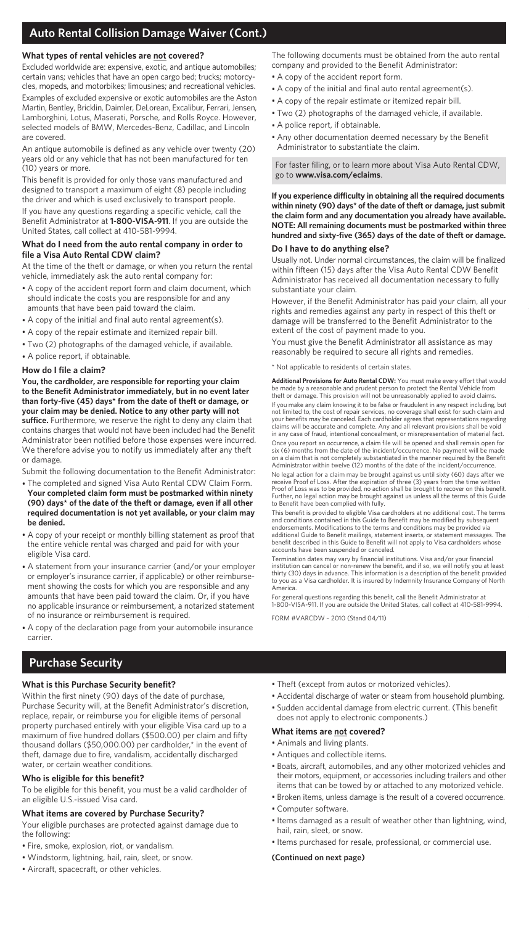# **Auto Rental Collision Damage Waiver (Cont.)**

## **What types of rental vehicles are not covered?**

Excluded worldwide are: expensive, exotic, and antique automobiles; certain vans; vehicles that have an open cargo bed; trucks; motorcycles, mopeds, and motorbikes; limousines; and recreational vehicles.

Examples of excluded expensive or exotic automobiles are the Aston Martin, Bentley, Bricklin, Daimler, DeLorean, Excalibur, Ferrari, Jensen, Lamborghini, Lotus, Maserati, Porsche, and Rolls Royce. However, selected models of BMW, Mercedes-Benz, Cadillac, and Lincoln are covered.

An antique automobile is defined as any vehicle over twenty (20) years old or any vehicle that has not been manufactured for ten (10) years or more.

This benefit is provided for only those vans manufactured and designed to transport a maximum of eight (8) people including the driver and which is used exclusively to transport people. If you have any questions regarding a specific vehicle, call the Benefit Administrator at **1-800-VISA-911**. If you are outside the United States, call collect at 410-581-9994.

#### **What do I need from the auto rental company in order to file a Visa Auto Rental CDW claim?**

At the time of the theft or damage, or when you return the rental vehicle, immediately ask the auto rental company for:

- A copy of the accident report form and claim document, which should indicate the costs you are responsible for and any amounts that have been paid toward the claim.
- A copy of the initial and final auto rental agreement(s).
- A copy of the repair estimate and itemized repair bill.
- Two (2) photographs of the damaged vehicle, if available.
- A police report, if obtainable.

## **How do I file a claim?**

**You, the cardholder, are responsible for reporting your claim to the Benefit Administrator immediately, but in no event later than forty-five (45) days\* from the date of theft or damage, or your claim may be denied. Notice to any other party will not suffice.** Furthermore, we reserve the right to deny any claim that contains charges that would not have been included had the Benefit Administrator been notified before those expenses were incurred. We therefore advise you to notify us immediately after any theft or damage.

Submit the following documentation to the Benefit Administrator:

- The completed and signed Visa Auto Rental CDW Claim Form. **Your completed claim form must be postmarked within ninety (90) days\* of the date of the theft or damage, even if all other required documentation is not yet available, or your claim may be denied.**
- A copy of your receipt or monthly billing statement as proof that the entire vehicle rental was charged and paid for with your eligible Visa card.
- A statement from your insurance carrier (and/or your employer or employer's insurance carrier, if applicable) or other reimbursement showing the costs for which you are responsible and any amounts that have been paid toward the claim. Or, if you have no applicable insurance or reimbursement, a notarized statement of no insurance or reimbursement is required.
- A copy of the declaration page from your automobile insurance carrier.

## **Purchase Security**

## **What is this Purchase Security benefit?**

Within the first ninety (90) days of the date of purchase, Purchase Security will, at the Benefit Administrator's discretion, replace, repair, or reimburse you for eligible items of personal property purchased entirely with your eligible Visa card up to a maximum of five hundred dollars (\$500.00) per claim and fifty thousand dollars (\$50,000.00) per cardholder,\* in the event of theft, damage due to fire, vandalism, accidentally discharged water, or certain weather conditions.

## **Who is eligible for this benefit?**

To be eligible for this benefit, you must be a valid cardholder of an eligible U.S.-issued Visa card.

## **What items are covered by Purchase Security?**

Your eligible purchases are protected against damage due to the following:

- Fire, smoke, explosion, riot, or vandalism.
- Windstorm, lightning, hail, rain, sleet, or snow.
- Aircraft, spacecraft, or other vehicles.

The following documents must be obtained from the auto rental company and provided to the Benefit Administrator:

- A copy of the accident report form.
- A copy of the initial and final auto rental agreement(s).
- A copy of the repair estimate or itemized repair bill.
- Two (2) photographs of the damaged vehicle, if available.
- A police report, if obtainable.
- Any other documentation deemed necessary by the Benefit Administrator to substantiate the claim.

For faster filing, or to learn more about Visa Auto Rental CDW, go to **www.visa.com/eclaims**.

**If you experience difficulty in obtaining all the required documents within ninety (90) days\* of the date of theft or damage, just submit the claim form and any documentation you already have available. NOTE: All remaining documents must be postmarked within three hundred and sixty-five (365) days of the date of theft or damage.**

## **Do I have to do anything else?**

Usually not. Under normal circumstances, the claim will be finalized within fifteen (15) days after the Visa Auto Rental CDW Benefit Administrator has received all documentation necessary to fully substantiate your claim.

However, if the Benefit Administrator has paid your claim, all your rights and remedies against any party in respect of this theft or damage will be transferred to the Benefit Administrator to the extent of the cost of payment made to you.

You must give the Benefit Administrator all assistance as may reasonably be required to secure all rights and remedies.

\* Not applicable to residents of certain states.

**Additional Provisions for Auto Rental CDW:** You must make every effort that would be made by a reasonable and prudent person to protect the Rental Vehicle from theft or damage. This provision will not be unreasonably applied to avoid claims.

If you make any claim knowing it to be false or fraudulent in any respect including, but not limited to, the cost of repair services, no coverage shall exist for such claim and your benefits may be canceled. Each cardholder agrees that representations regarding claims will be accurate and complete. Any and all relevant provisions shall be void in any case of fraud, intentional concealment, or misrepresentation of material fact.

Once you report an occurrence, a claim file will be opened and shall remain open for six (6) months from the date of the incident/occurrence. No payment will be made on a claim that is not completely substantiated in the manner required by the Benefit Administrator within twelve (12) months of the date of the incident/occurrence.

No legal action for a claim may be brought against us until sixty (60) days after we receive Proof of Loss. After the expiration of three (3) years from the time written Proof of Loss was to be provided, no action shall be brought to recover on this benefit. Further, no legal action may be brought against us unless all the terms of this Guide to Benefit have been complied with fully.

This benefit is provided to eligible Visa cardholders at no additional cost. The terms and conditions contained in this Guide to Benefit may be modified by subsequent endorsements. Modifications to the terms and conditions may be provided via additional Guide to Benefit mailings, statement inserts, or statement messages. The benefit described in this Guide to Benefit will not apply to Visa cardholders whose accounts have been suspended or canceled.

Termination dates may vary by financial institutions. Visa and/or your financial institution can cancel or non-renew the benefit, and if so, we will notify you at least thirty (30) days in advance. This information is a description of the benefit provided to you as a Visa cardholder. It is insured by Indemnity Insurance Company of North America.

For general questions regarding this benefit, call the Benefit Administrator at 1-800-VISA-911. If you are outside the United States, call collect at 410-581-9994.

## FORM #VARCDW – 2010 (Stand 04/11)

- Theft (except from autos or motorized vehicles).
- Accidental discharge of water or steam from household plumbing.
- Sudden accidental damage from electric current. (This benefit does not apply to electronic components.)

## **What items are not covered?**

- Animals and living plants.
- Antiques and collectible items.
- Boats, aircraft, automobiles, and any other motorized vehicles and their motors, equipment, or accessories including trailers and other items that can be towed by or attached to any motorized vehicle.
- Broken items, unless damage is the result of a covered occurrence.
- Computer software.
- Items damaged as a result of weather other than lightning, wind, hail, rain, sleet, or snow.
- Items purchased for resale, professional, or commercial use.

## **(Continued on next page)**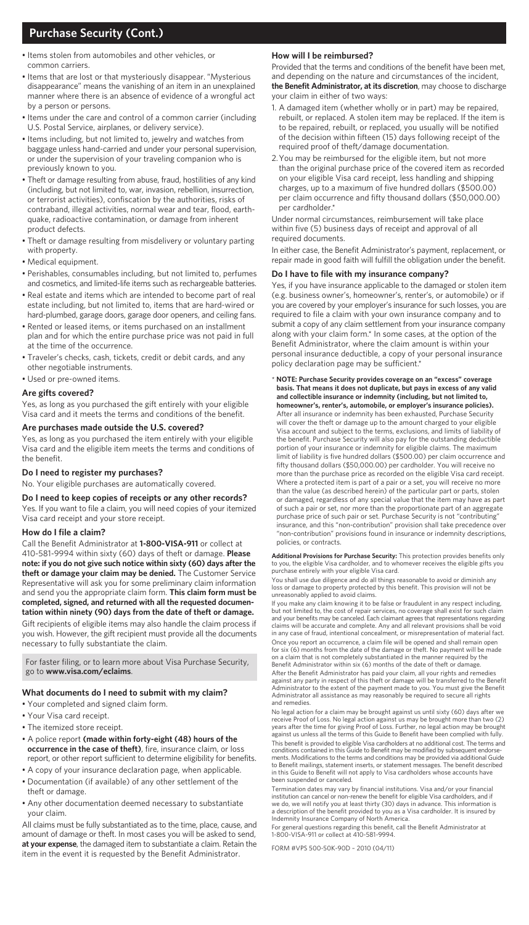# **Purchase Security (Cont.)**

- Items stolen from automobiles and other vehicles, or common carriers.
- Items that are lost or that mysteriously disappear. "Mysterious disappearance" means the vanishing of an item in an unexplained manner where there is an absence of evidence of a wrongful act by a person or persons.
- Items under the care and control of a common carrier (including U.S. Postal Service, airplanes, or delivery service).
- Items including, but not limited to, jewelry and watches from baggage unless hand-carried and under your personal supervision, or under the supervision of your traveling companion who is previously known to you.
- Theft or damage resulting from abuse, fraud, hostilities of any kind (including, but not limited to, war, invasion, rebellion, insurrection, or terrorist activities), confiscation by the authorities, risks of contraband, illegal activities, normal wear and tear, flood, earthquake, radioactive contamination, or damage from inherent product defects.
- Theft or damage resulting from misdelivery or voluntary parting with property.
- Medical equipment.
- Perishables, consumables including, but not limited to, perfumes and cosmetics, and limited-life items such as rechargeable batteries.
- Real estate and items which are intended to become part of real estate including, but not limited to, items that are hard-wired or hard-plumbed, garage doors, garage door openers, and ceiling fans.
- Rented or leased items, or items purchased on an installment plan and for which the entire purchase price was not paid in full at the time of the occurrence.
- Traveler's checks, cash, tickets, credit or debit cards, and any other negotiable instruments.
- Used or pre-owned items.

## **Are gifts covered?**

Yes, as long as you purchased the gift entirely with your eligible Visa card and it meets the terms and conditions of the benefit.

## **Are purchases made outside the U.S. covered?**

Yes, as long as you purchased the item entirely with your eligible Visa card and the eligible item meets the terms and conditions of the benefit.

## **Do I need to register my purchases?**

No. Your eligible purchases are automatically covered.

**Do I need to keep copies of receipts or any other records?**

Yes. If you want to file a claim, you will need copies of your itemized Visa card receipt and your store receipt.

## **How do I file a claim?**

Call the Benefit Administrator at **1-800-VISA-911** or collect at 410-581-9994 within sixty (60) days of theft or damage. **Please note: if you do not give such notice within sixty (60) days after the theft or damage your claim may be denied.** The Customer Service Representative will ask you for some preliminary claim information and send you the appropriate claim form. **This claim form must be completed, signed, and returned with all the requested documentation within ninety (90) days from the date of theft or damage.**

Gift recipients of eligible items may also handle the claim process if you wish. However, the gift recipient must provide all the documents necessary to fully substantiate the claim.

For faster filing, or to learn more about Visa Purchase Security, go to **www.visa.com/eclaims**.

#### **What documents do I need to submit with my claim?**

- Your completed and signed claim form.
- Your Visa card receipt.
- The itemized store receipt.
- A police report **(made within forty-eight (48) hours of the occurrence in the case of theft)**, fire, insurance claim, or loss report, or other report sufficient to determine eligibility for benefits.
- A copy of your insurance declaration page, when applicable.
- Documentation (if available) of any other settlement of the theft or damage.
- Any other documentation deemed necessary to substantiate your claim.

All claims must be fully substantiated as to the time, place, cause, and amount of damage or theft. In most cases you will be asked to send, **at your expense**, the damaged item to substantiate a claim. Retain the item in the event it is requested by the Benefit Administrator.

#### **How will I be reimbursed?**

Provided that the terms and conditions of the benefit have been met, and depending on the nature and circumstances of the incident, **the Benefit Administrator, at its discretion**, may choose to discharge your claim in either of two ways:

- 1. A damaged item (whether wholly or in part) may be repaired, rebuilt, or replaced. A stolen item may be replaced. If the item is to be repaired, rebuilt, or replaced, you usually will be notified of the decision within fifteen (15) days following receipt of the required proof of theft/damage documentation.
- 2.You may be reimbursed for the eligible item, but not more than the original purchase price of the covered item as recorded on your eligible Visa card receipt, less handling and shipping charges, up to a maximum of five hundred dollars (\$500.00) per claim occurrence and fifty thousand dollars (\$50,000.00) per cardholder.\*

Under normal circumstances, reimbursement will take place within five (5) business days of receipt and approval of all required documents.

In either case, the Benefit Administrator's payment, replacement, or repair made in good faith will fulfill the obligation under the benefit.

## **Do I have to file with my insurance company?**

Yes, if you have insurance applicable to the damaged or stolen item (e.g. business owner's, homeowner's, renter's, or automobile) or if you are covered by your employer's insurance for such losses, you are required to file a claim with your own insurance company and to submit a copy of any claim settlement from your insurance company along with your claim form.\* In some cases, at the option of the Benefit Administrator, where the claim amount is within your personal insurance deductible, a copy of your personal insurance policy declaration page may be sufficient.

#### \* **NOTE: Purchase Security provides coverage on an "excess" coverage basis. That means it does not duplicate, but pays in excess of any valid and collectible insurance or indemnity (including, but not limited to, homeowner's, renter's, automobile, or employer's insurance policies).**

After all insurance or indemnity has been exhausted, Purchase Security will cover the theft or damage up to the amount charged to your eligible Visa account and subject to the terms, exclusions, and limits of liability of the benefit. Purchase Security will also pay for the outstanding deductible portion of your insurance or indemnity for eligible claims. The maximum limit of liability is five hundred dollars (\$500.00) per claim occurrence and fifty thousand dollars (\$50,000.00) per cardholder. You will receive no more than the purchase price as recorded on the eligible Visa card receipt. Where a protected item is part of a pair or a set, you will receive no more than the value (as described herein) of the particular part or parts, stolen or damaged, regardless of any special value that the item may have as part of such a pair or set, nor more than the proportionate part of an aggregate purchase price of such pair or set. Purchase Security is not "contributing" insurance, and this "non-contribution" provision shall take precedence over "non-contribution" provisions found in insurance or indemnity descriptions, policies, or contracts.

**Additional Provisions for Purchase Security:** This protection provides benefits only<br>to you, the eligible Visa cardholder, and to whomever receives the eligible gifts you<br>purchase entirely with your eligible Visa card.

You shall use due diligence and do all things reasonable to avoid or diminish any loss or damage to property protected by this benefit. This provision will not be unreasonably applied to avoid claims.

If you make any claim knowing it to be false or fraudulent in any respect including, but not limited to, the cost of repair services, no coverage shall exist for such claim<br>and your benefits may be canceled. Each claimant agrees that representations regarding<br>claims will be accurate and complete. Any and a in any case of fraud, intentional concealment, or misrepresentation of material fact.

Once you report an occurrence, a claim file will be opened and shall remain open for six (6) months from the date of the damage or theft. No payment will be made on a claim that is not completely substantiated in the manner required by the Benefit Administrator within six (6) months of the date of theft or damage.

After the Benefit Administrator has paid your claim, all your rights and remedies against any party in respect of this theft or damage will be transferred to the Benefit Administrator to the extent of the payment made to you. You must give the Benefit Administrator all assistance as may reasonably be required to secure all rights and remedies.

No legal action for a claim may be brought against us until sixty (60) days after we receive Proof of Loss. No legal action against us may be brought more than two (2)<br>years after the time for giving Proof of Loss. Further, no legal action may be brought<br>against us unless all the terms of this Guide to Ben This benefit is provided to eligible Visa cardholders at no additional cost. The terms and conditions contained in this Guide to Benefit may be modified by subsequent endorse-ments. Modifications to the terms and conditions may be provided via additional Guide

to Benefit mailings, statement inserts, or statement messages. The benefit described in this Guide to Benefit will not apply to Visa cardholders whose accounts have been suspended or canceled.

Termination dates may vary by financial institutions. Visa and/or your financial institution can cancel or non-renew the benefit for eligible Visa cardholders, and if<br>we do, we will notify you at least thirty (30) days in advance. This information is<br>a description of the benefit provided to you as a Vi Indemnity Insurance Company of North America.

For general questions regarding this benefit, call the Benefit Administrator at 1-800-VISA-911 or collect at 410-581-9994.

FORM #VPS 500-50K-90D – 2010 (04/11)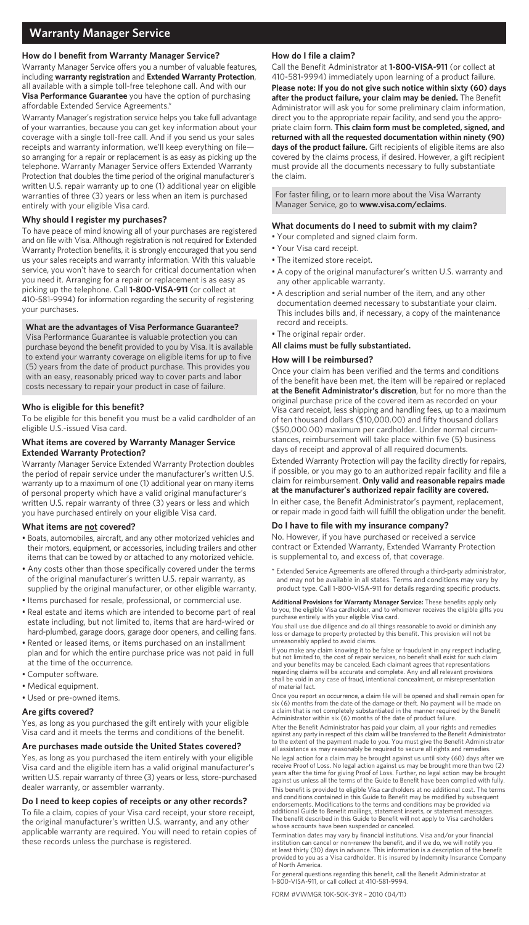## **How do I benefit from Warranty Manager Service?**

Warranty Manager Service offers you a number of valuable features, including **warranty registration** and **Extended Warranty Protection**, all available with a simple toll-free telephone call. And with our **Visa Performance Guarantee** you have the option of purchasing affordable Extended Service Agreements.\*

Warranty Manager's registration service helps you take full advantage of your warranties, because you can get key information about your coverage with a single toll-free call. And if you send us your sales receipts and warranty information, we'll keep everything on file so arranging for a repair or replacement is as easy as picking up the telephone. Warranty Manager Service offers Extended Warranty Protection that doubles the time period of the original manufacturer's written U.S. repair warranty up to one (1) additional year on eligible warranties of three (3) years or less when an item is purchased entirely with your eligible Visa card.

#### **Why should I register my purchases?**

To have peace of mind knowing all of your purchases are registered and on file with Visa. Although registration is not required for Extended Warranty Protection benefits, it is strongly encouraged that you send us your sales receipts and warranty information. With this valuable service, you won't have to search for critical documentation when you need it. Arranging for a repair or replacement is as easy as picking up the telephone. Call **1-800-VISA-911** (or collect at 410-581-9994) for information regarding the security of registering your purchases.

## **What are the advantages of Visa Performance Guarantee?**

Visa Performance Guarantee is valuable protection you can purchase beyond the benefit provided to you by Visa. It is available to extend your warranty coverage on eligible items for up to five (5) years from the date of product purchase. This provides you with an easy, reasonably priced way to cover parts and labor costs necessary to repair your product in case of failure.

#### **Who is eligible for this benefit?**

To be eligible for this benefit you must be a valid cardholder of an eligible U.S.-issued Visa card.

## **What items are covered by Warranty Manager Service Extended Warranty Protection?**

Warranty Manager Service Extended Warranty Protection doubles the period of repair service under the manufacturer's written U.S. warranty up to a maximum of one (1) additional year on many items of personal property which have a valid original manufacturer's written U.S. repair warranty of three (3) years or less and which you have purchased entirely on your eligible Visa card.

## **What items are not covered?**

- Boats, automobiles, aircraft, and any other motorized vehicles and their motors, equipment, or accessories, including trailers and other items that can be towed by or attached to any motorized vehicle.
- Any costs other than those specifically covered under the terms of the original manufacturer's written U.S. repair warranty, as supplied by the original manufacturer, or other eligible warranty.
- Items purchased for resale, professional, or commercial use.
- Real estate and items which are intended to become part of real estate including, but not limited to, items that are hard-wired or hard-plumbed, garage doors, garage door openers, and ceiling fans.
- Rented or leased items, or items purchased on an installment plan and for which the entire purchase price was not paid in full at the time of the occurrence.
- Computer software.
- Medical equipment.
- Used or pre-owned items.

#### **Are gifts covered?**

Yes, as long as you purchased the gift entirely with your eligible Visa card and it meets the terms and conditions of the benefit.

## **Are purchases made outside the United States covered?**

Yes, as long as you purchased the item entirely with your eligible Visa card and the eligible item has a valid original manufacturer's written U.S. repair warranty of three (3) years or less, store-purchased dealer warranty, or assembler warranty.

#### **Do I need to keep copies of receipts or any other records?**

To file a claim, copies of your Visa card receipt, your store receipt, the original manufacturer's written U.S. warranty, and any other applicable warranty are required. You will need to retain copies of these records unless the purchase is registered.

## **How do I file a claim?**

Call the Benefit Administrator at **1-800-VISA-911** (or collect at 410-581-9994) immediately upon learning of a product failure. **Please note: If you do not give such notice within sixty (60) days after the product failure, your claim may be denied.** The Benefit Administrator will ask you for some preliminary claim information, direct you to the appropriate repair facility, and send you the appropriate claim form. **This claim form must be completed, signed, and returned with all the requested documentation within ninety (90) days of the product failure.** Gift recipients of eligible items are also covered by the claims process, if desired. However, a gift recipient must provide all the documents necessary to fully substantiate the claim.

For faster filing, or to learn more about the Visa Warranty Manager Service, go to **www.visa.com/eclaims**.

#### **What documents do I need to submit with my claim?**

- Your completed and signed claim form.
- Your Visa card receipt.
- The itemized store receipt.
- A copy of the original manufacturer's written U.S. warranty and any other applicable warranty.
- A description and serial number of the item, and any other documentation deemed necessary to substantiate your claim. This includes bills and, if necessary, a copy of the maintenance record and receipts.
- The original repair order.
- **All claims must be fully substantiated.**

#### **How will I be reimbursed?**

Once your claim has been verified and the terms and conditions of the benefit have been met, the item will be repaired or replaced **at the Benefit Administrator's discretion**, but for no more than the original purchase price of the covered item as recorded on your Visa card receipt, less shipping and handling fees, up to a maximum of ten thousand dollars (\$10,000.00) and fifty thousand dollars (\$50,000.00) maximum per cardholder. Under normal circumstances, reimbursement will take place within five (5) business days of receipt and approval of all required documents.

Extended Warranty Protection will pay the facility directly for repairs, if possible, or you may go to an authorized repair facility and file a claim for reimbursement. **Only valid and reasonable repairs made at the manufacturer's authorized repair facility are covered.** In either case, the Benefit Administrator's payment, replacement, or repair made in good faith will fulfill the obligation under the benefit.

## **Do I have to file with my insurance company?**

No. However, if you have purchased or received a service contract or Extended Warranty, Extended Warranty Protection is supplemental to, and excess of, that coverage.

Extended Service Agreements are offered through a third-party administrator, and may not be available in all states. Terms and conditions may vary by product type. Call 1-800-VISA-911 for details regarding specific products.

**Additional Provisions for Warranty Manager Service:** These benefits apply only to you, the eligible Visa cardholder, and to whomever receives the eligible gifts you purchase entirely with your eligible Visa card.

You shall use due diligence and do all things reasonable to avoid or diminish any loss or damage to property protected by this benefit. This provision will not be unreasonably applied to avoid claims.

If you make any claim knowing it to be false or fraudulent in any respect including, but not limited to, the cost of repair services, no benefit shall exist for such claim and your benefits may be canceled. Each claimant agrees that representations regarding claims will be accurate and complete. Any and all relevant provisions shall be void in any case of fraud, intentional concealment, or misrepresentation of material fact.

Once you report an occurrence, a claim file will be opened and shall remain open for six (6) months from the date of the damage or theft. No payment will be made on a claim that is not completely substantiated in the manner required by the Benefit Administrator within six (6) months of the date of product failure.

After the Benefit Administrator has paid your claim, all your rights and remedies against any party in respect of this claim will be transferred to the Benefit Administrator to the extent of the payment made to you. You must give the Benefit Administrator all assistance as may reasonably be required to secure all rights and remedies.

No legal action for a claim may be brought against us until sixty (60) days after receive Proof of Loss. No legal action against us may be brought more than two (2) years after the time for giving Proof of Loss. Further, no legal action may be brought against us unless all the terms of the Guide to Benefit have been complied with fully. This benefit is provided to eligible Visa cardholders at no additional cost. The terms and conditions contained in this Guide to Benefit may be modified by subsequent<br>endorsements. Modifications to the terms and conditions may be provided via<br>additional Guide to Benefit mailings, statement inserts, or statem The benefit described in this Guide to Benefit will not apply to Visa cardholders whose accounts have been suspended or canceled.

Termination dates may vary by financial institutions. Visa and/or your finan institution can cancel or non-renew the benefit, and if we do, we will notify you at least thirty (30) days in advance. This information is a description of the benefit provided to you as a Visa cardholder. It is insured by Indemnity Insurance Company of North America.

For general questions regarding this benefit, call the Benefit Administrator at 1-800-VISA-911, or call collect at 410-581-9994.

FORM #VWMGR 10K-50K-3YR – 2010 (04/11)